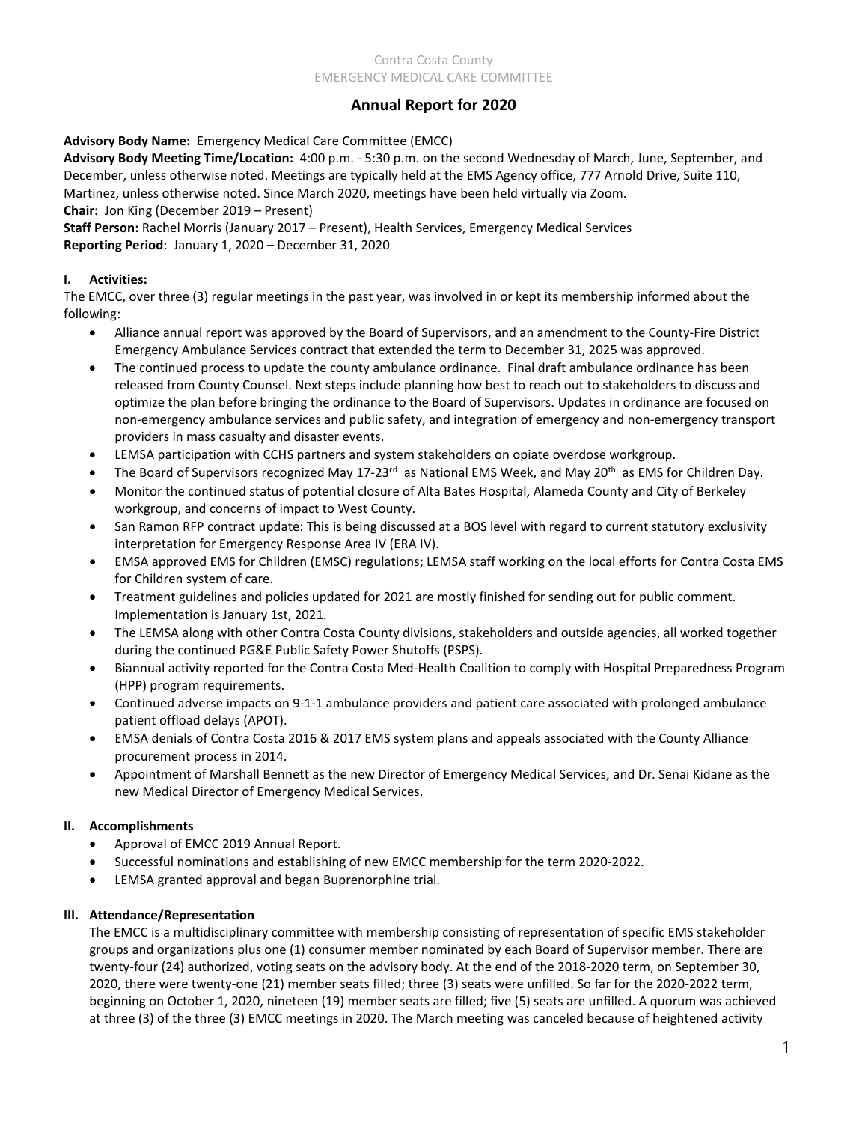#### Contra Costa County EMERGENCY MEDICAL CARE COMMITTEE

# **Annual Report for 2020**

**Advisory Body Name:** Emergency Medical Care Committee (EMCC)

**Advisory Body Meeting Time/Location:** 4:00 p.m. - 5:30 p.m. on the second Wednesday of March, June, September, and December, unless otherwise noted. Meetings are typically held at the EMS Agency office, 777 Arnold Drive, Suite 110, Martinez, unless otherwise noted. Since March 2020, meetings have been held virtually via Zoom. **Chair:** Jon King (December 2019 – Present)

**Staff Person:** Rachel Morris (January 2017 – Present), Health Services, Emergency Medical Services **Reporting Period**: January 1, 2020 – December 31, 2020

### **I. Activities:**

The EMCC, over three (3) regular meetings in the past year, was involved in or kept its membership informed about the following:

- Alliance annual report was approved by the Board of Supervisors, and an amendment to the County-Fire District Emergency Ambulance Services contract that extended the term to December 31, 2025 was approved.
- The continued process to update the county ambulance ordinance. Final draft ambulance ordinance has been released from County Counsel. Next steps include planning how best to reach out to stakeholders to discuss and optimize the plan before bringing the ordinance to the Board of Supervisors. Updates in ordinance are focused on non-emergency ambulance services and public safety, and integration of emergency and non-emergency transport providers in mass casualty and disaster events.
- LEMSA participation with CCHS partners and system stakeholders on opiate overdose workgroup.
- The Board of Supervisors recognized May 17-23<sup>rd</sup> as National EMS Week, and May 20<sup>th</sup> as EMS for Children Day.
- Monitor the continued status of potential closure of Alta Bates Hospital, Alameda County and City of Berkeley workgroup, and concerns of impact to West County.
- San Ramon RFP contract update: This is being discussed at a BOS level with regard to current statutory exclusivity interpretation for Emergency Response Area IV (ERA IV).
- EMSA approved EMS for Children (EMSC) regulations; LEMSA staff working on the local efforts for Contra Costa EMS for Children system of care.
- Treatment guidelines and policies updated for 2021 are mostly finished for sending out for public comment. Implementation is January 1st, 2021.
- The LEMSA along with other Contra Costa County divisions, stakeholders and outside agencies, all worked together during the continued PG&E Public Safety Power Shutoffs (PSPS).
- Biannual activity reported for the Contra Costa Med-Health Coalition to comply with Hospital Preparedness Program (HPP) program requirements.
- Continued adverse impacts on 9-1-1 ambulance providers and patient care associated with prolonged ambulance patient offload delays (APOT).
- EMSA denials of Contra Costa 2016 & 2017 EMS system plans and appeals associated with the County Alliance procurement process in 2014.
- Appointment of Marshall Bennett as the new Director of Emergency Medical Services, and Dr. Senai Kidane as the new Medical Director of Emergency Medical Services.

## **II. Accomplishments**

- Approval of EMCC 2019 Annual Report.
- Successful nominations and establishing of new EMCC membership for the term 2020-2022.
- LEMSA granted approval and began Buprenorphine trial.

#### **III. Attendance/Representation**

The EMCC is a multidisciplinary committee with membership consisting of representation of specific EMS stakeholder groups and organizations plus one (1) consumer member nominated by each Board of Supervisor member. There are twenty-four (24) authorized, voting seats on the advisory body. At the end of the 2018-2020 term, on September 30, 2020, there were twenty-one (21) member seats filled; three (3) seats were unfilled. So far for the 2020-2022 term, beginning on October 1, 2020, nineteen (19) member seats are filled; five (5) seats are unfilled. A quorum was achieved at three (3) of the three (3) EMCC meetings in 2020. The March meeting was canceled because of heightened activity